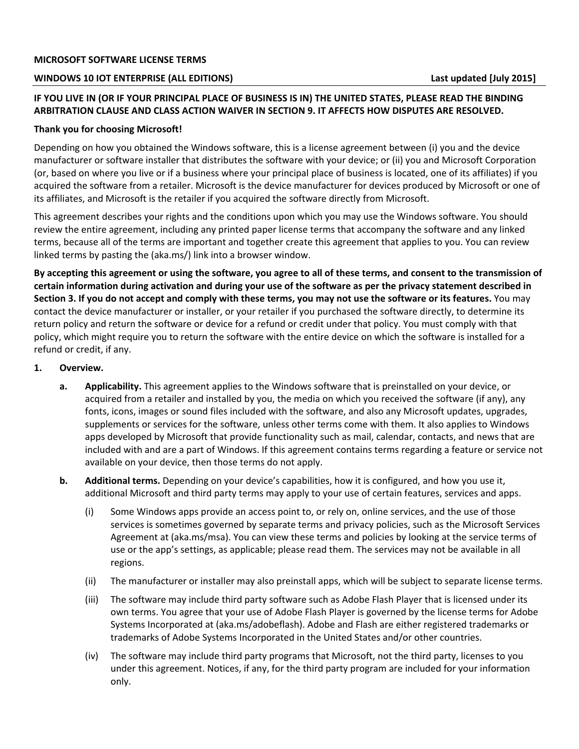# **WINDOWS 10 IOT ENTERPRISE (ALL EDITIONS) Last updated [July 2015]**

# **IF YOU LIVE IN (OR IF YOUR PRINCIPAL PLACE OF BUSINESS IS IN) THE UNITED STATES, PLEASE READ THE BINDING ARBITRATION CLAUSE AND CLASS ACTION WAIVER IN SECTION 9. IT AFFECTS HOW DISPUTES ARE RESOLVED.**

# **Thank you for choosing Microsoft!**

Depending on how you obtained the Windows software, this is a license agreement between (i) you and the device manufacturer or software installer that distributes the software with your device; or (ii) you and Microsoft Corporation (or, based on where you live or if a business where your principal place of business is located, one of its affiliates) if you acquired the software from a retailer. Microsoft is the device manufacturer for devices produced by Microsoft or one of its affiliates, and Microsoft is the retailer if you acquired the software directly from Microsoft.

This agreement describes your rights and the conditions upon which you may use the Windows software. You should review the entire agreement, including any printed paper license terms that accompany the software and any linked terms, because all of the terms are important and together create this agreement that applies to you. You can review linked terms by pasting the (aka.ms/) link into a browser window.

**By accepting this agreement or using the software, you agree to all of these terms, and consent to the transmission of certain information during activation and during your use of the software as per the privacy statement described in Section 3. If you do not accept and comply with these terms, you may not use the software or its features.** You may contact the device manufacturer or installer, or your retailer if you purchased the software directly, to determine its return policy and return the software or device for a refund or credit under that policy. You must comply with that policy, which might require you to return the software with the entire device on which the software is installed for a refund or credit, if any.

# **1. Overview.**

- **a. Applicability.** This agreement applies to the Windows software that is preinstalled on your device, or acquired from a retailer and installed by you, the media on which you received the software (if any), any fonts, icons, images or sound files included with the software, and also any Microsoft updates, upgrades, supplements or services for the software, unless other terms come with them. It also applies to Windows apps developed by Microsoft that provide functionality such as mail, calendar, contacts, and news that are included with and are a part of Windows. If this agreement contains terms regarding a feature or service not available on your device, then those terms do not apply.
- **b. Additional terms.** Depending on your device's capabilities, how it is configured, and how you use it, additional Microsoft and third party terms may apply to your use of certain features, services and apps.
	- (i) Some Windows apps provide an access point to, or rely on, online services, and the use of those services is sometimes governed by separate terms and privacy policies, such as the Microsoft Services Agreement at (aka.ms/msa). You can view these terms and policies by looking at the service terms of use or the app's settings, as applicable; please read them. The services may not be available in all regions.
	- (ii) The manufacturer or installer may also preinstall apps, which will be subject to separate license terms.
	- (iii) The software may include third party software such as Adobe Flash Player that is licensed under its own terms. You agree that your use of Adobe Flash Player is governed by the license terms for Adobe Systems Incorporated at (aka.ms/adobeflash). Adobe and Flash are either registered trademarks or trademarks of Adobe Systems Incorporated in the United States and/or other countries.
	- (iv) The software may include third party programs that Microsoft, not the third party, licenses to you under this agreement. Notices, if any, for the third party program are included for your information only.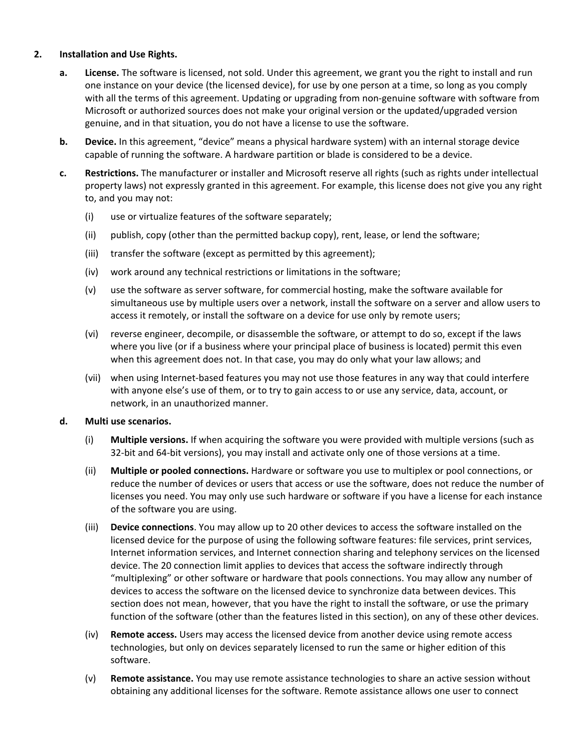# **2. Installation and Use Rights.**

- **a. License.** The software is licensed, not sold. Under this agreement, we grant you the right to install and run one instance on your device (the licensed device), for use by one person at a time, so long as you comply with all the terms of this agreement. Updating or upgrading from non-genuine software with software from Microsoft or authorized sources does not make your original version or the updated/upgraded version genuine, and in that situation, you do not have a license to use the software.
- **b. Device.** In this agreement, "device" means a physical hardware system) with an internal storage device capable of running the software. A hardware partition or blade is considered to be a device.
- **c. Restrictions.** The manufacturer or installer and Microsoft reserve all rights (such as rights under intellectual property laws) not expressly granted in this agreement. For example, this license does not give you any right to, and you may not:
	- (i) use or virtualize features of the software separately;
	- (ii) publish, copy (other than the permitted backup copy), rent, lease, or lend the software;
	- (iii) transfer the software (except as permitted by this agreement);
	- (iv) work around any technical restrictions or limitations in the software;
	- (v) use the software as server software, for commercial hosting, make the software available for simultaneous use by multiple users over a network, install the software on a server and allow users to access it remotely, or install the software on a device for use only by remote users;
	- (vi) reverse engineer, decompile, or disassemble the software, or attempt to do so, except if the laws where you live (or if a business where your principal place of business is located) permit this even when this agreement does not. In that case, you may do only what your law allows; and
	- (vii) when using Internet‐based features you may not use those features in any way that could interfere with anyone else's use of them, or to try to gain access to or use any service, data, account, or network, in an unauthorized manner.

### **d. Multi use scenarios.**

- (i) **Multiple versions.** If when acquiring the software you were provided with multiple versions (such as 32‐bit and 64‐bit versions), you may install and activate only one of those versions at a time.
- (ii) **Multiple or pooled connections.** Hardware or software you use to multiplex or pool connections, or reduce the number of devices or users that access or use the software, does not reduce the number of licenses you need. You may only use such hardware or software if you have a license for each instance of the software you are using.
- (iii) **Device connections**. You may allow up to 20 other devices to access the software installed on the licensed device for the purpose of using the following software features: file services, print services, Internet information services, and Internet connection sharing and telephony services on the licensed device. The 20 connection limit applies to devices that access the software indirectly through "multiplexing" or other software or hardware that pools connections. You may allow any number of devices to access the software on the licensed device to synchronize data between devices. This section does not mean, however, that you have the right to install the software, or use the primary function of the software (other than the features listed in this section), on any of these other devices.
- (iv) **Remote access.** Users may access the licensed device from another device using remote access technologies, but only on devices separately licensed to run the same or higher edition of this software.
- (v) **Remote assistance.** You may use remote assistance technologies to share an active session without obtaining any additional licenses for the software. Remote assistance allows one user to connect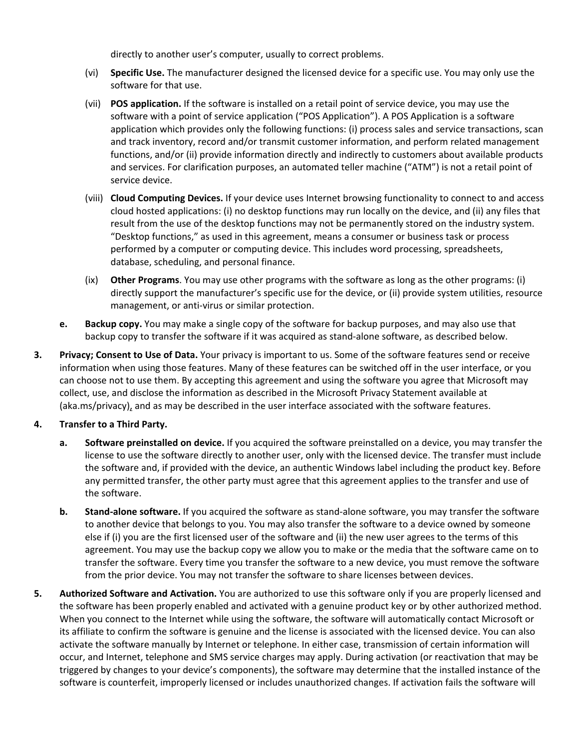directly to another user's computer, usually to correct problems.

- (vi) **Specific Use.** The manufacturer designed the licensed device for a specific use. You may only use the software for that use.
- (vii) **POS application.** If the software is installed on a retail point of service device, you may use the software with a point of service application ("POS Application"). A POS Application is a software application which provides only the following functions: (i) process sales and service transactions, scan and track inventory, record and/or transmit customer information, and perform related management functions, and/or (ii) provide information directly and indirectly to customers about available products and services. For clarification purposes, an automated teller machine ("ATM") is not a retail point of service device.
- (viii) **Cloud Computing Devices.** If your device uses Internet browsing functionality to connect to and access cloud hosted applications: (i) no desktop functions may run locally on the device, and (ii) any files that result from the use of the desktop functions may not be permanently stored on the industry system. "Desktop functions," as used in this agreement, means a consumer or business task or process performed by a computer or computing device. This includes word processing, spreadsheets, database, scheduling, and personal finance.
- (ix) **Other Programs**. You may use other programs with the software as long as the other programs: (i) directly support the manufacturer's specific use for the device, or (ii) provide system utilities, resource management, or anti‐virus or similar protection.
- **e. Backup copy.** You may make a single copy of the software for backup purposes, and may also use that backup copy to transfer the software if it was acquired as stand‐alone software, as described below.
- **3. Privacy; Consent to Use of Data.** Your privacy is important to us. Some of the software features send or receive information when using those features. Many of these features can be switched off in the user interface, or you can choose not to use them. By accepting this agreement and using the software you agree that Microsoft may collect, use, and disclose the information as described in the Microsoft Privacy Statement available at (aka.ms/privacy), and as may be described in the user interface associated with the software features.

# **4. Transfer to a Third Party.**

- **a. Software preinstalled on device.** If you acquired the software preinstalled on a device, you may transfer the license to use the software directly to another user, only with the licensed device. The transfer must include the software and, if provided with the device, an authentic Windows label including the product key. Before any permitted transfer, the other party must agree that this agreement applies to the transfer and use of the software.
- **b. Stand‐alone software.** If you acquired the software as stand‐alone software, you may transfer the software to another device that belongs to you. You may also transfer the software to a device owned by someone else if (i) you are the first licensed user of the software and (ii) the new user agrees to the terms of this agreement. You may use the backup copy we allow you to make or the media that the software came on to transfer the software. Every time you transfer the software to a new device, you must remove the software from the prior device. You may not transfer the software to share licenses between devices.
- **5. Authorized Software and Activation.** You are authorized to use this software only if you are properly licensed and the software has been properly enabled and activated with a genuine product key or by other authorized method. When you connect to the Internet while using the software, the software will automatically contact Microsoft or its affiliate to confirm the software is genuine and the license is associated with the licensed device. You can also activate the software manually by Internet or telephone. In either case, transmission of certain information will occur, and Internet, telephone and SMS service charges may apply. During activation (or reactivation that may be triggered by changes to your device's components), the software may determine that the installed instance of the software is counterfeit, improperly licensed or includes unauthorized changes. If activation fails the software will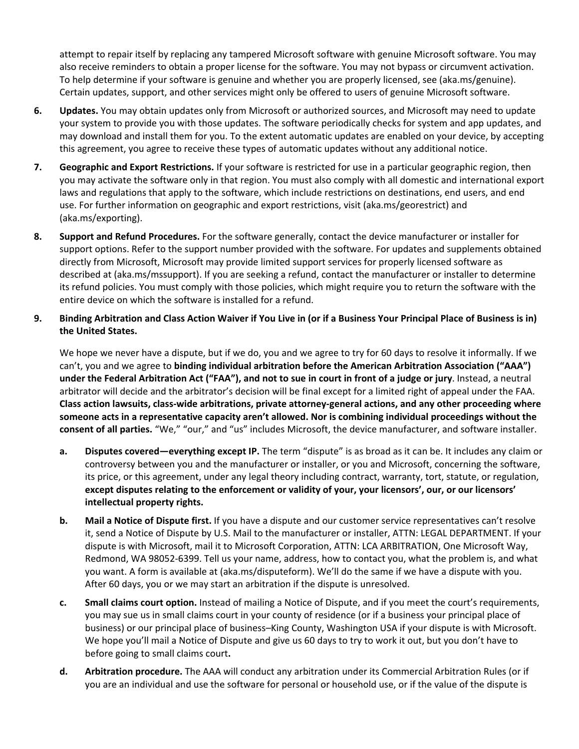attempt to repair itself by replacing any tampered Microsoft software with genuine Microsoft software. You may also receive reminders to obtain a proper license for the software. You may not bypass or circumvent activation. To help determine if your software is genuine and whether you are properly licensed, see (aka.ms/genuine). Certain updates, support, and other services might only be offered to users of genuine Microsoft software.

- **6. Updates.** You may obtain updates only from Microsoft or authorized sources, and Microsoft may need to update your system to provide you with those updates. The software periodically checks for system and app updates, and may download and install them for you. To the extent automatic updates are enabled on your device, by accepting this agreement, you agree to receive these types of automatic updates without any additional notice.
- **7. Geographic and Export Restrictions.** If your software is restricted for use in a particular geographic region, then you may activate the software only in that region. You must also comply with all domestic and international export laws and regulations that apply to the software, which include restrictions on destinations, end users, and end use. For further information on geographic and export restrictions, visit (aka.ms/georestrict) and (aka.ms/exporting).
- **8. Support and Refund Procedures.** For the software generally, contact the device manufacturer or installer for support options. Refer to the support number provided with the software. For updates and supplements obtained directly from Microsoft, Microsoft may provide limited support services for properly licensed software as described at (aka.ms/mssupport). If you are seeking a refund, contact the manufacturer or installer to determine its refund policies. You must comply with those policies, which might require you to return the software with the entire device on which the software is installed for a refund.
- **9. Binding Arbitration and Class Action Waiver if You Live in (or if a Business Your Principal Place of Business is in) the United States.**

We hope we never have a dispute, but if we do, you and we agree to try for 60 days to resolve it informally. If we can't, you and we agree to **binding individual arbitration before the American Arbitration Association ("AAA") under the Federal Arbitration Act ("FAA"), and not to sue in court in front of a judge or jury**. Instead, a neutral arbitrator will decide and the arbitrator's decision will be final except for a limited right of appeal under the FAA. **Class action lawsuits, class‐wide arbitrations, private attorney‐general actions, and any other proceeding where someone acts in a representative capacity aren't allowed. Nor is combining individual proceedings without the consent of all parties.** "We," "our," and "us" includes Microsoft, the device manufacturer, and software installer.

- **a. Disputes covered—everything except IP.** The term "dispute" is as broad as it can be. It includes any claim or controversy between you and the manufacturer or installer, or you and Microsoft, concerning the software, its price, or this agreement, under any legal theory including contract, warranty, tort, statute, or regulation, **except disputes relating to the enforcement or validity of your, your licensors', our, or our licensors' intellectual property rights.**
- **b. Mail a Notice of Dispute first.** If you have a dispute and our customer service representatives can't resolve it, send a Notice of Dispute by U.S. Mail to the manufacturer or installer, ATTN: LEGAL DEPARTMENT. If your dispute is with Microsoft, mail it to Microsoft Corporation, ATTN: LCA ARBITRATION, One Microsoft Way, Redmond, WA 98052‐6399. Tell us your name, address, how to contact you, what the problem is, and what you want. A form is available at (aka.ms/disputeform). We'll do the same if we have a dispute with you. After 60 days, you or we may start an arbitration if the dispute is unresolved.
- **c. Small claims court option.** Instead of mailing a Notice of Dispute, and if you meet the court's requirements, you may sue us in small claims court in your county of residence (or if a business your principal place of business) or our principal place of business–King County, Washington USA if your dispute is with Microsoft. We hope you'll mail a Notice of Dispute and give us 60 days to try to work it out, but you don't have to before going to small claims court**.**
- **d. Arbitration procedure.** The AAA will conduct any arbitration under its Commercial Arbitration Rules (or if you are an individual and use the software for personal or household use, or if the value of the dispute is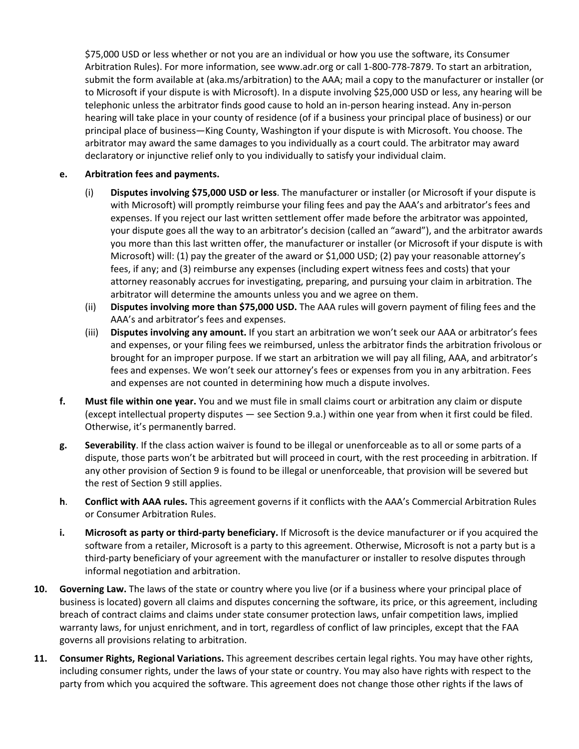\$75,000 USD or less whether or not you are an individual or how you use the software, its Consumer Arbitration Rules). For more information, see www.adr.org or call 1‐800‐778‐7879. To start an arbitration, submit the form available at (aka.ms/arbitration) to the AAA; mail a copy to the manufacturer or installer (or to Microsoft if your dispute is with Microsoft). In a dispute involving \$25,000 USD or less, any hearing will be telephonic unless the arbitrator finds good cause to hold an in‐person hearing instead. Any in‐person hearing will take place in your county of residence (of if a business your principal place of business) or our principal place of business—King County, Washington if your dispute is with Microsoft. You choose. The arbitrator may award the same damages to you individually as a court could. The arbitrator may award declaratory or injunctive relief only to you individually to satisfy your individual claim.

# **e. Arbitration fees and payments.**

- (i) **Disputes involving \$75,000 USD or less**. The manufacturer or installer (or Microsoft if your dispute is with Microsoft) will promptly reimburse your filing fees and pay the AAA's and arbitrator's fees and expenses. If you reject our last written settlement offer made before the arbitrator was appointed, your dispute goes all the way to an arbitrator's decision (called an "award"), and the arbitrator awards you more than this last written offer, the manufacturer or installer (or Microsoft if your dispute is with Microsoft) will: (1) pay the greater of the award or \$1,000 USD; (2) pay your reasonable attorney's fees, if any; and (3) reimburse any expenses (including expert witness fees and costs) that your attorney reasonably accrues for investigating, preparing, and pursuing your claim in arbitration. The arbitrator will determine the amounts unless you and we agree on them.
- (ii) **Disputes involving more than \$75,000 USD.** The AAA rules will govern payment of filing fees and the AAA's and arbitrator's fees and expenses.
- (iii) **Disputes involving any amount.** If you start an arbitration we won't seek our AAA or arbitrator's fees and expenses, or your filing fees we reimbursed, unless the arbitrator finds the arbitration frivolous or brought for an improper purpose. If we start an arbitration we will pay all filing, AAA, and arbitrator's fees and expenses. We won't seek our attorney's fees or expenses from you in any arbitration. Fees and expenses are not counted in determining how much a dispute involves.
- **f. Must file within one year.** You and we must file in small claims court or arbitration any claim or dispute (except intellectual property disputes — see Section 9.a.) within one year from when it first could be filed. Otherwise, it's permanently barred.
- **g. Severability**. If the class action waiver is found to be illegal or unenforceable as to all or some parts of a dispute, those parts won't be arbitrated but will proceed in court, with the rest proceeding in arbitration. If any other provision of Section 9 is found to be illegal or unenforceable, that provision will be severed but the rest of Section 9 still applies.
- **h**. **Conflict with AAA rules.** This agreement governs if it conflicts with the AAA's Commercial Arbitration Rules or Consumer Arbitration Rules.
- **i. Microsoft as party or third‐party beneficiary.** If Microsoft is the device manufacturer or if you acquired the software from a retailer, Microsoft is a party to this agreement. Otherwise, Microsoft is not a party but is a third‐party beneficiary of your agreement with the manufacturer or installer to resolve disputes through informal negotiation and arbitration.
- **10. Governing Law.** The laws of the state or country where you live (or if a business where your principal place of business is located) govern all claims and disputes concerning the software, its price, or this agreement, including breach of contract claims and claims under state consumer protection laws, unfair competition laws, implied warranty laws, for unjust enrichment, and in tort, regardless of conflict of law principles, except that the FAA governs all provisions relating to arbitration.
- **11. Consumer Rights, Regional Variations.** This agreement describes certain legal rights. You may have other rights, including consumer rights, under the laws of your state or country. You may also have rights with respect to the party from which you acquired the software. This agreement does not change those other rights if the laws of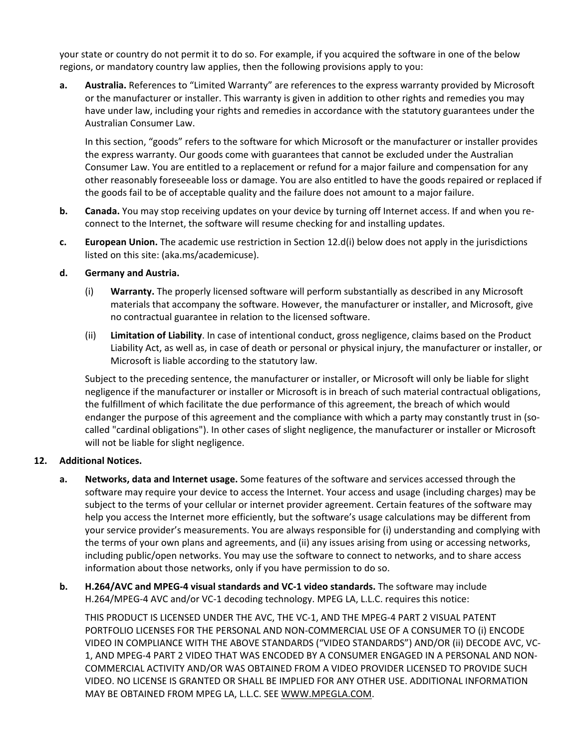your state or country do not permit it to do so. For example, if you acquired the software in one of the below regions, or mandatory country law applies, then the following provisions apply to you:

**a. Australia.** References to "Limited Warranty" are references to the express warranty provided by Microsoft or the manufacturer or installer. This warranty is given in addition to other rights and remedies you may have under law, including your rights and remedies in accordance with the statutory guarantees under the Australian Consumer Law.

In this section, "goods" refers to the software for which Microsoft or the manufacturer or installer provides the express warranty. Our goods come with guarantees that cannot be excluded under the Australian Consumer Law. You are entitled to a replacement or refund for a major failure and compensation for any other reasonably foreseeable loss or damage. You are also entitled to have the goods repaired or replaced if the goods fail to be of acceptable quality and the failure does not amount to a major failure.

- **b. Canada.** You may stop receiving updates on your device by turning off Internet access. If and when you reconnect to the Internet, the software will resume checking for and installing updates.
- **c. European Union.** The academic use restriction in Section 12.d(i) below does not apply in the jurisdictions listed on this site: (aka.ms/academicuse).

# **d. Germany and Austria.**

- (i) **Warranty.** The properly licensed software will perform substantially as described in any Microsoft materials that accompany the software. However, the manufacturer or installer, and Microsoft, give no contractual guarantee in relation to the licensed software.
- (ii) **Limitation of Liability**. In case of intentional conduct, gross negligence, claims based on the Product Liability Act, as well as, in case of death or personal or physical injury, the manufacturer or installer, or Microsoft is liable according to the statutory law.

Subject to the preceding sentence, the manufacturer or installer, or Microsoft will only be liable for slight negligence if the manufacturer or installer or Microsoft is in breach of such material contractual obligations, the fulfillment of which facilitate the due performance of this agreement, the breach of which would endanger the purpose of this agreement and the compliance with which a party may constantly trust in (socalled "cardinal obligations"). In other cases of slight negligence, the manufacturer or installer or Microsoft will not be liable for slight negligence.

### **12. Additional Notices.**

- **a. Networks, data and Internet usage.** Some features of the software and services accessed through the software may require your device to access the Internet. Your access and usage (including charges) may be subject to the terms of your cellular or internet provider agreement. Certain features of the software may help you access the Internet more efficiently, but the software's usage calculations may be different from your service provider's measurements. You are always responsible for (i) understanding and complying with the terms of your own plans and agreements, and (ii) any issues arising from using or accessing networks, including public/open networks. You may use the software to connect to networks, and to share access information about those networks, only if you have permission to do so.
- **b. H.264/AVC and MPEG‐4 visual standards and VC‐1 video standards.** The software may include H.264/MPEG‐4 AVC and/or VC‐1 decoding technology. MPEG LA, L.L.C. requires this notice:

THIS PRODUCT IS LICENSED UNDER THE AVC, THE VC‐1, AND THE MPEG‐4 PART 2 VISUAL PATENT PORTFOLIO LICENSES FOR THE PERSONAL AND NON‐COMMERCIAL USE OF A CONSUMER TO (i) ENCODE VIDEO IN COMPLIANCE WITH THE ABOVE STANDARDS ("VIDEO STANDARDS") AND/OR (ii) DECODE AVC, VC‐ 1, AND MPEG‐4 PART 2 VIDEO THAT WAS ENCODED BY A CONSUMER ENGAGED IN A PERSONAL AND NON‐ COMMERCIAL ACTIVITY AND/OR WAS OBTAINED FROM A VIDEO PROVIDER LICENSED TO PROVIDE SUCH VIDEO. NO LICENSE IS GRANTED OR SHALL BE IMPLIED FOR ANY OTHER USE. ADDITIONAL INFORMATION MAY BE OBTAINED FROM MPEG LA, L.L.C. SEE WWW.MPEGLA.COM.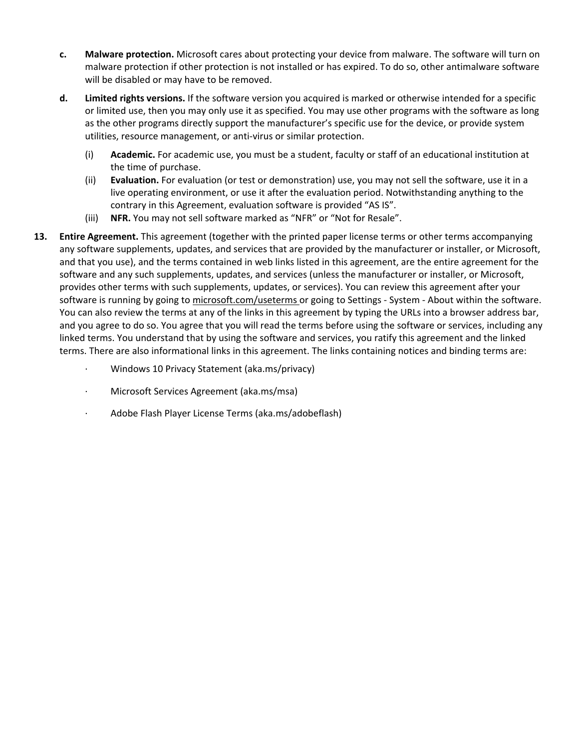- **c. Malware protection.** Microsoft cares about protecting your device from malware. The software will turn on malware protection if other protection is not installed or has expired. To do so, other antimalware software will be disabled or may have to be removed.
- **d. Limited rights versions.** If the software version you acquired is marked or otherwise intended for a specific or limited use, then you may only use it as specified. You may use other programs with the software as long as the other programs directly support the manufacturer's specific use for the device, or provide system utilities, resource management, or anti‐virus or similar protection.
	- (i) **Academic.** For academic use, you must be a student, faculty or staff of an educational institution at the time of purchase.
	- (ii) **Evaluation.** For evaluation (or test or demonstration) use, you may not sell the software, use it in a live operating environment, or use it after the evaluation period. Notwithstanding anything to the contrary in this Agreement, evaluation software is provided "AS IS".
	- (iii) **NFR.** You may not sell software marked as "NFR" or "Not for Resale".
- **13. Entire Agreement.** This agreement (together with the printed paper license terms or other terms accompanying any software supplements, updates, and services that are provided by the manufacturer or installer, or Microsoft, and that you use), and the terms contained in web links listed in this agreement, are the entire agreement for the software and any such supplements, updates, and services (unless the manufacturer or installer, or Microsoft, provides other terms with such supplements, updates, or services). You can review this agreement after your software is running by going to microsoft.com/useterms or going to Settings - System - About within the software. You can also review the terms at any of the links in this agreement by typing the URLs into a browser address bar, and you agree to do so. You agree that you will read the terms before using the software or services, including any linked terms. You understand that by using the software and services, you ratify this agreement and the linked terms. There are also informational links in this agreement. The links containing notices and binding terms are:
	- ∙ Windows 10 Privacy Statement (aka.ms/privacy)
	- ∙ Microsoft Services Agreement (aka.ms/msa)
	- ∙ Adobe Flash Player License Terms (aka.ms/adobeflash)